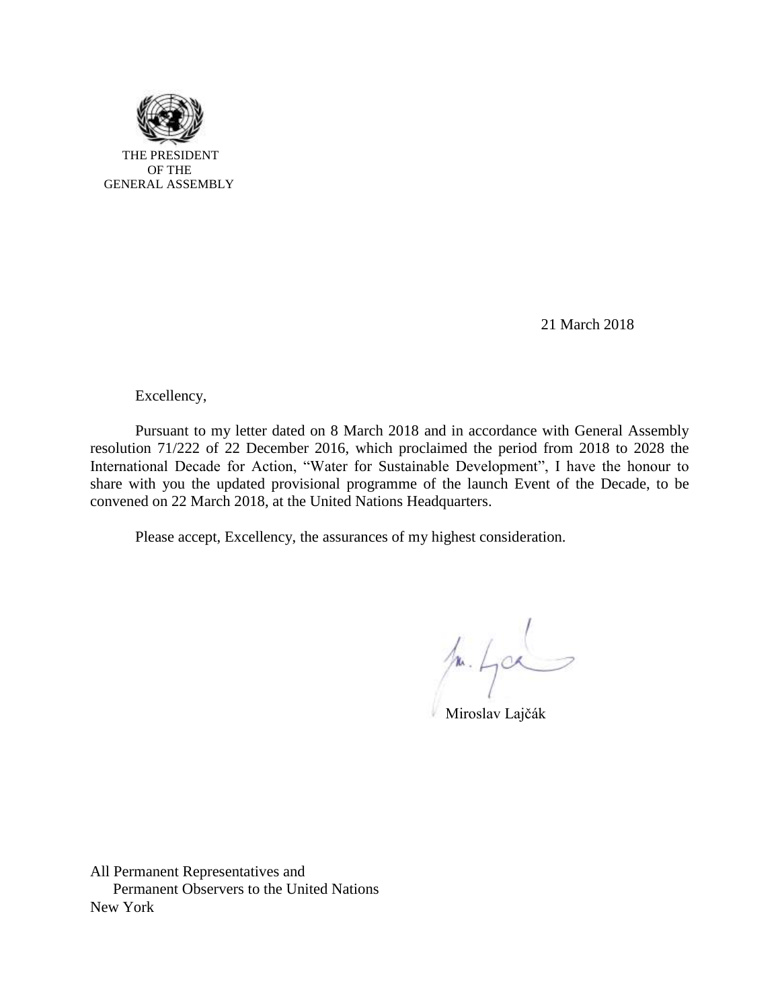

21 March 2018

Excellency,

Pursuant to my letter dated on 8 March 2018 and in accordance with General Assembly resolution 71/222 of 22 December 2016, which proclaimed the period from 2018 to 2028 the International Decade for Action, "Water for Sustainable Development", I have the honour to share with you the updated provisional programme of the launch Event of the Decade, to be convened on 22 March 2018, at the United Nations Headquarters.

Please accept, Excellency, the assurances of my highest consideration.

 $/$ 1. 400

Miroslav Lajčák

All Permanent Representatives and Permanent Observers to the United Nations New York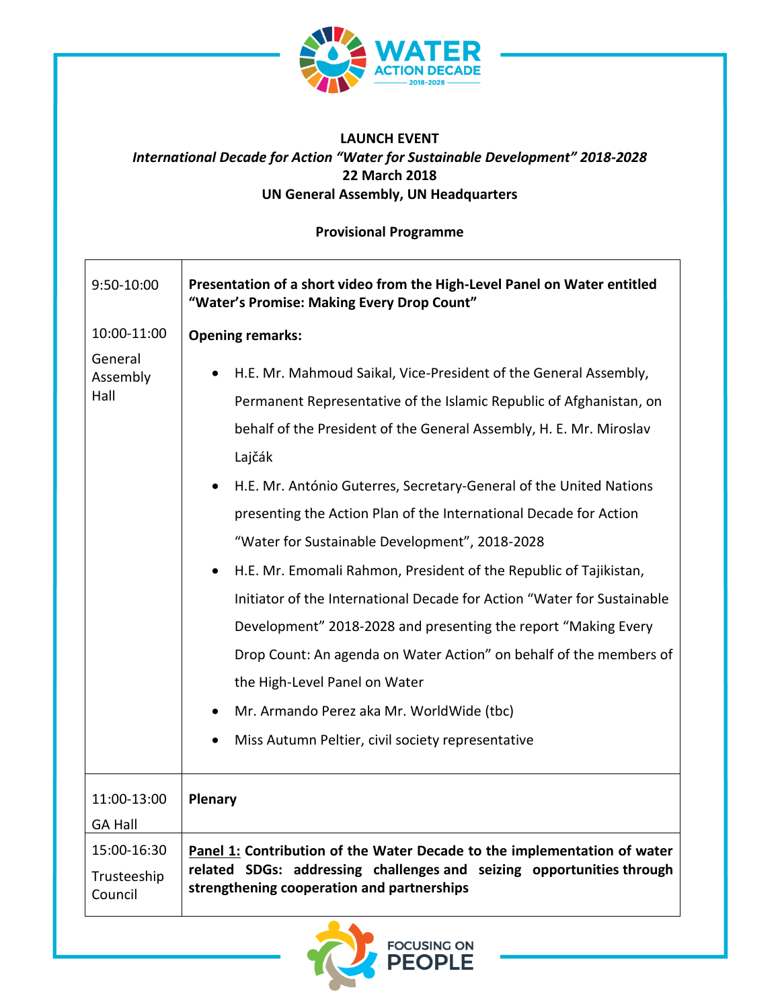

## **LAUNCH EVENT** *International Decade for Action "Water for Sustainable Development" 2018-2028* **22 March 2018 UN General Assembly, UN Headquarters**

**Provisional Programme**

| 9:50-10:00                            | Presentation of a short video from the High-Level Panel on Water entitled<br>"Water's Promise: Making Every Drop Count"                                                                                                                                                                                                                                                                                                                                                                                                                                                                                                                                                                                                                                                                                                                                       |
|---------------------------------------|---------------------------------------------------------------------------------------------------------------------------------------------------------------------------------------------------------------------------------------------------------------------------------------------------------------------------------------------------------------------------------------------------------------------------------------------------------------------------------------------------------------------------------------------------------------------------------------------------------------------------------------------------------------------------------------------------------------------------------------------------------------------------------------------------------------------------------------------------------------|
| 10:00-11:00                           | <b>Opening remarks:</b>                                                                                                                                                                                                                                                                                                                                                                                                                                                                                                                                                                                                                                                                                                                                                                                                                                       |
| General<br>Assembly<br>Hall           | H.E. Mr. Mahmoud Saikal, Vice-President of the General Assembly,<br>Permanent Representative of the Islamic Republic of Afghanistan, on<br>behalf of the President of the General Assembly, H. E. Mr. Miroslav<br>Lajčák<br>H.E. Mr. António Guterres, Secretary-General of the United Nations<br>presenting the Action Plan of the International Decade for Action<br>"Water for Sustainable Development", 2018-2028<br>H.E. Mr. Emomali Rahmon, President of the Republic of Tajikistan,<br>$\bullet$<br>Initiator of the International Decade for Action "Water for Sustainable<br>Development" 2018-2028 and presenting the report "Making Every<br>Drop Count: An agenda on Water Action" on behalf of the members of<br>the High-Level Panel on Water<br>Mr. Armando Perez aka Mr. WorldWide (tbc)<br>Miss Autumn Peltier, civil society representative |
| 11:00-13:00<br><b>GA Hall</b>         | Plenary                                                                                                                                                                                                                                                                                                                                                                                                                                                                                                                                                                                                                                                                                                                                                                                                                                                       |
| 15:00-16:30<br>Trusteeship<br>Council | Panel 1: Contribution of the Water Decade to the implementation of water<br>related SDGs: addressing challenges and seizing opportunities through<br>strengthening cooperation and partnerships                                                                                                                                                                                                                                                                                                                                                                                                                                                                                                                                                                                                                                                               |